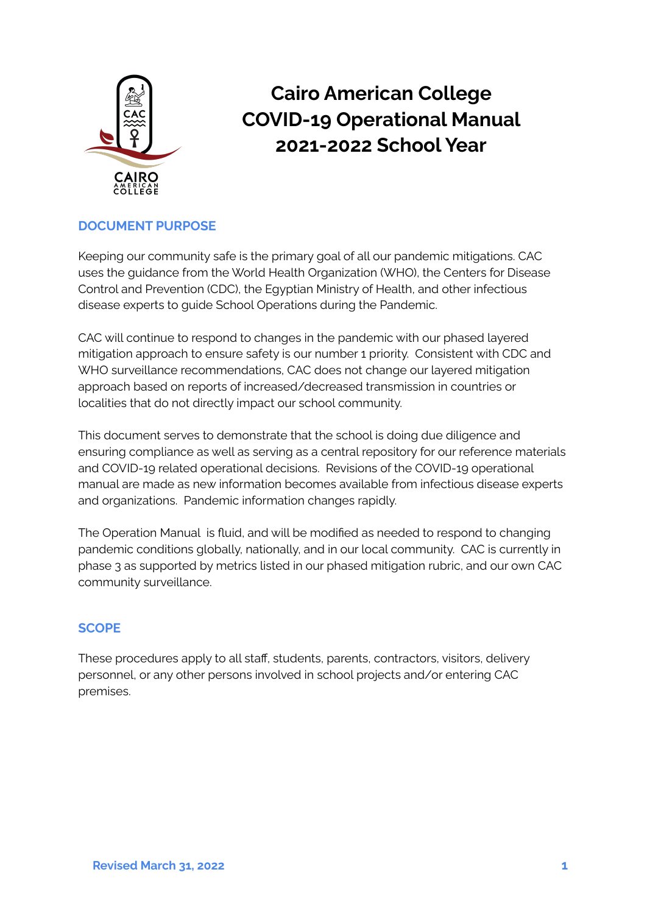

# **Cairo American College COVID-19 Operational Manual 2021-2022 School Year**

## **DOCUMENT PURPOSE**

Keeping our community safe is the primary goal of all our pandemic mitigations. CAC uses the guidance from the World Health Organization (WHO), the Centers for Disease Control and Prevention (CDC), the Egyptian Ministry of Health, and other infectious disease experts to guide School Operations during the Pandemic.

CAC will continue to respond to changes in the pandemic with our phased layered mitigation approach to ensure safety is our number 1 priority. Consistent with CDC and WHO surveillance recommendations, CAC does not change our layered mitigation approach based on reports of increased/decreased transmission in countries or localities that do not directly impact our school community.

This document serves to demonstrate that the school is doing due diligence and ensuring compliance as well as serving as a central repository for our reference materials and COVID-19 related operational decisions. Revisions of the COVID-19 operational manual are made as new information becomes available from infectious disease experts and organizations. Pandemic information changes rapidly.

The Operation Manual is fluid, and will be modified as needed to respond to changing pandemic conditions globally, nationally, and in our local community. CAC is currently in phase 3 as supported by metrics listed in our phased mitigation rubric, and our own CAC community surveillance.

#### **SCOPE**

These procedures apply to all staff, students, parents, contractors, visitors, delivery personnel, or any other persons involved in school projects and/or entering CAC premises.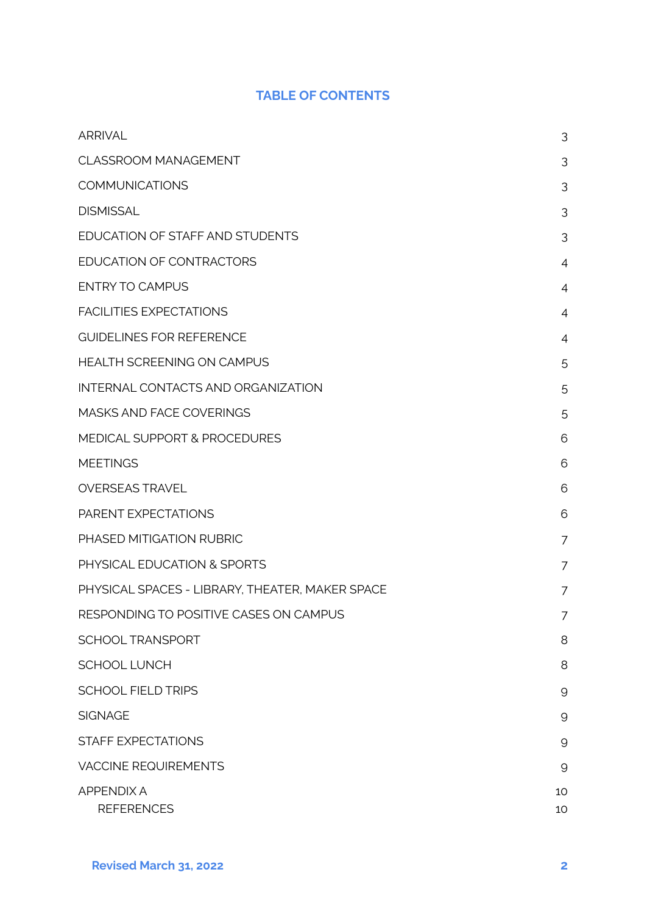# **TABLE OF CONTENTS**

| <b>ARRIVAL</b>                                  | 3            |
|-------------------------------------------------|--------------|
| <b>CLASSROOM MANAGEMENT</b>                     | 3            |
| <b>COMMUNICATIONS</b>                           | 3            |
| <b>DISMISSAL</b>                                | 3            |
| EDUCATION OF STAFF AND STUDENTS                 | 3            |
| EDUCATION OF CONTRACTORS                        | 4            |
| <b>ENTRY TO CAMPUS</b>                          | 4            |
| <b>FACILITIES EXPECTATIONS</b>                  | 4            |
| <b>GUIDELINES FOR REFERENCE</b>                 | 4            |
| <b>HEALTH SCREENING ON CAMPUS</b>               | 5            |
| INTERNAL CONTACTS AND ORGANIZATION              | 5            |
| <b>MASKS AND FACE COVERINGS</b>                 | 5            |
| MEDICAL SUPPORT & PROCEDURES                    | 6            |
| <b>MEETINGS</b>                                 | 6            |
| <b>OVERSEAS TRAVEL</b>                          | 6            |
| PARENT EXPECTATIONS                             | 6            |
| PHASED MITIGATION RUBRIC                        | 7            |
| PHYSICAL EDUCATION & SPORTS                     | 7            |
| PHYSICAL SPACES - LIBRARY, THEATER, MAKER SPACE | 7            |
| RESPONDING TO POSITIVE CASES ON CAMPUS          | 7            |
| <b>SCHOOL TRANSPORT</b>                         | 8            |
| <b>SCHOOL LUNCH</b>                             | 8            |
| <b>SCHOOL FIELD TRIPS</b>                       | 9            |
| <b>SIGNAGE</b>                                  | 9            |
| <b>STAFF EXPECTATIONS</b>                       | $\mathsf{9}$ |
| <b>VACCINE REQUIREMENTS</b>                     | $\mathsf{9}$ |
| <b>APPENDIX A</b><br><b>REFERENCES</b>          | 10<br>10     |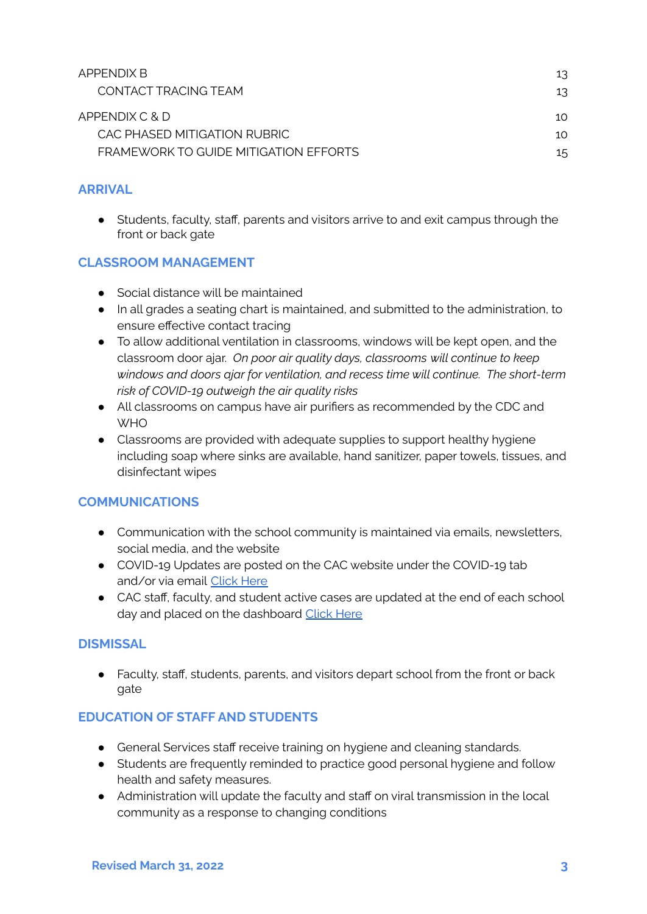| APPENDIX B                            | 13  |
|---------------------------------------|-----|
| CONTACT TRACING TFAM                  | 13  |
| APPENDIX C & D                        | 10. |
| CAC PHASED MITIGATION RUBRIC          | 10. |
| FRAMEWORK TO GUIDE MITIGATION FFFORTS | 15  |

# **ARRIVAL**

● Students, faculty, staff, parents and visitors arrive to and exit campus through the front or back gate

## <span id="page-2-0"></span>**CLASSROOM MANAGEMENT**

- Social distance will be maintained
- In all grades a seating chart is maintained, and submitted to the administration, to ensure effective contact tracing
- To allow additional ventilation in classrooms, windows will be kept open, and the classroom door ajar. *On poor air quality days, classrooms will continue to keep windows and doors ajar for ventilation, and recess time will continue. The short-term risk of COVID-19 outweigh the air quality risks*
- All classrooms on campus have air purifiers as recommended by the CDC and **WHO**
- Classrooms are provided with adequate supplies to support healthy hygiene including soap where sinks are available, hand sanitizer, paper towels, tissues, and disinfectant wipes

#### <span id="page-2-1"></span>**COMMUNICATIONS**

- Communication with the school community is maintained via emails, newsletters, social media, and the website
- COVID-19 Updates are posted on the CAC website under the COVID-19 tab and/or via email [Click](https://www.cacegypt.org/index.php/covid-19-updates) Here
- CAC staff, faculty, and student active cases are updated at the end of each school day and placed on the dashboard Click [Here](https://www.cacegypt.org/index.php/covid-19-updates)

#### <span id="page-2-2"></span>**DISMISSAL**

● Faculty, staff, students, parents, and visitors depart school from the front or back gate

#### <span id="page-2-3"></span>**EDUCATION OF STAFF AND STUDENTS**

- General Services staff receive training on hygiene and cleaning standards.
- Students are frequently reminded to practice good personal hygiene and follow health and safety measures.
- Administration will update the faculty and staff on viral transmission in the local community as a response to changing conditions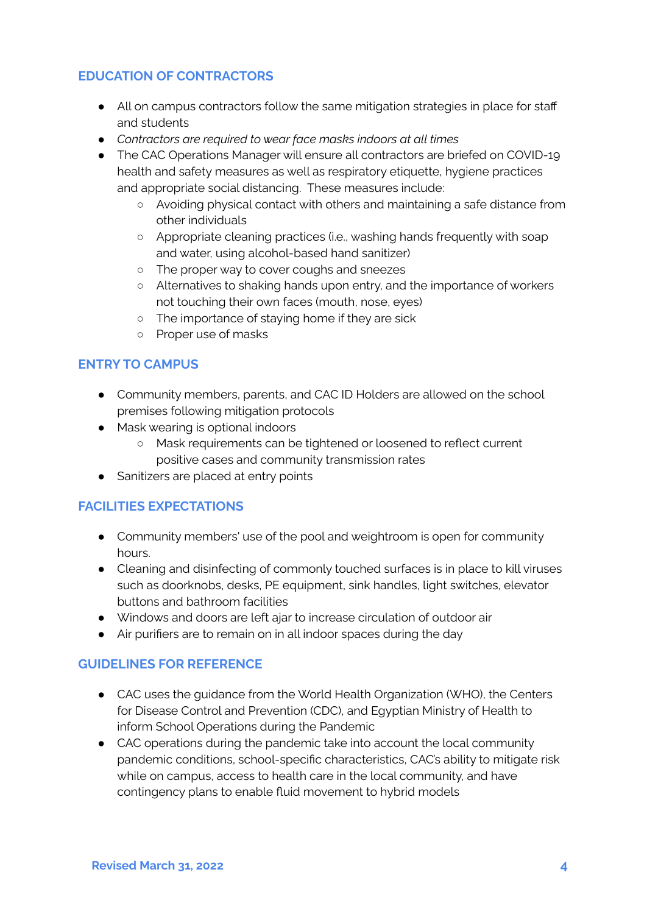#### <span id="page-3-0"></span>**EDUCATION OF CONTRACTORS**

- All on campus contractors follow the same mitigation strategies in place for staff and students
- *● Contractors are required to wear face masks indoors at all times*
- The CAC Operations Manager will ensure all contractors are briefed on COVID-19 health and safety measures as well as respiratory etiquette, hygiene practices and appropriate social distancing. These measures include:
	- Avoiding physical contact with others and maintaining a safe distance from other individuals
	- Appropriate cleaning practices (i.e., washing hands frequently with soap and water, using alcohol-based hand sanitizer)
	- The proper way to cover coughs and sneezes
	- Alternatives to shaking hands upon entry, and the importance of workers not touching their own faces (mouth, nose, eyes)
	- The importance of staying home if they are sick
	- Proper use of masks

#### <span id="page-3-1"></span>**ENTRY TO CAMPUS**

- Community members, parents, and CAC ID Holders are allowed on the school premises following mitigation protocols
- Mask wearing is optional indoors
	- Mask requirements can be tightened or loosened to reflect current positive cases and community transmission rates
- Sanitizers are placed at entry points

#### <span id="page-3-2"></span>**FACILITIES EXPECTATIONS**

- Community members' use of the pool and weightroom is open for community hours.
- Cleaning and disinfecting of commonly touched surfaces is in place to kill viruses such as doorknobs, desks, PE equipment, sink handles, light switches, elevator buttons and bathroom facilities
- Windows and doors are left ajar to increase circulation of outdoor air
- Air purifiers are to remain on in all indoor spaces during the day

#### <span id="page-3-3"></span>**GUIDELINES FOR REFERENCE**

- CAC uses the quidance from the World Health Organization (WHO), the Centers for Disease Control and Prevention (CDC), and Egyptian Ministry of Health to inform School Operations during the Pandemic
- CAC operations during the pandemic take into account the local community pandemic conditions, school-specific characteristics, CAC's ability to mitigate risk while on campus, access to health care in the local community, and have contingency plans to enable fluid movement to hybrid models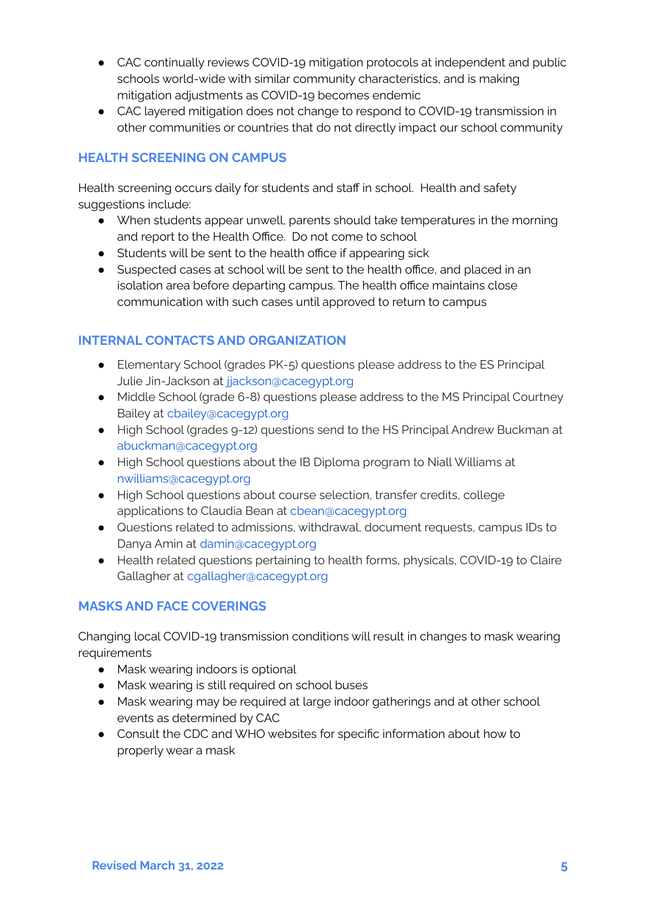- CAC continually reviews COVID-19 mitigation protocols at independent and public schools world-wide with similar community characteristics, and is making mitigation adjustments as COVID-19 becomes endemic
- CAC layered mitigation does not change to respond to COVID-19 transmission in other communities or countries that do not directly impact our school community

#### <span id="page-4-0"></span>**HEALTH SCREENING ON CAMPUS**

Health screening occurs daily for students and staff in school. Health and safety suggestions include:

- When students appear unwell, parents should take temperatures in the morning and report to the Health Office. Do not come to school
- Students will be sent to the health office if appearing sick
- Suspected cases at school will be sent to the health office, and placed in an isolation area before departing campus. The health office maintains close communication with such cases until approved to return to campus

## <span id="page-4-1"></span>**INTERNAL CONTACTS AND ORGANIZATION**

- Elementary School (grades PK-5) questions please address to the ES Principal Julie Jin-Jackson at jjackson@cacegypt.org
- Middle School (grade 6-8) questions please address to the MS Principal Courtney Bailey at cbailey@cacegypt.org
- High School (grades 9-12) questions send to the HS Principal Andrew Buckman at abuckman@cacegypt.org
- High School questions about the IB Diploma program to Niall Williams at nwilliams@cacegypt.org
- High School questions about course selection, transfer credits, college applications to Claudia Bean at cbean@cacegypt.org
- Questions related to admissions, withdrawal, document requests, campus IDs to Danya Amin at damin@cacegypt.org
- Health related questions pertaining to health forms, physicals, COVID-19 to Claire Gallagher at cgallagher@cacegypt.org

# <span id="page-4-2"></span>**MASKS AND FACE COVERINGS**

Changing local COVID-19 transmission conditions will result in changes to mask wearing requirements

- Mask wearing indoors is optional
- Mask wearing is still required on school buses
- Mask wearing may be required at large indoor gatherings and at other school events as determined by CAC
- Consult the CDC and WHO websites for specific information about how to properly wear a mask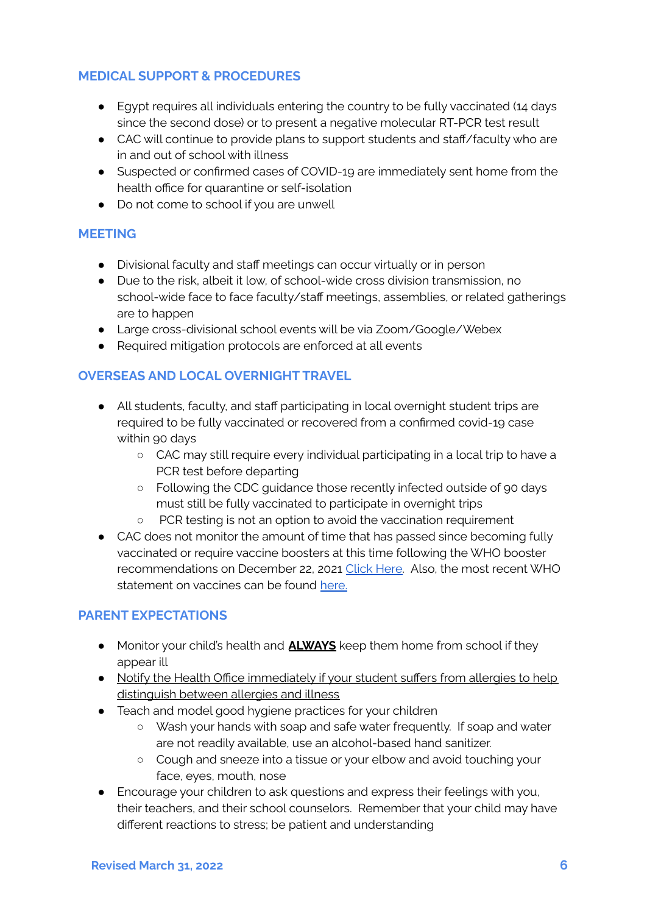#### <span id="page-5-0"></span>**MEDICAL SUPPORT & PROCEDURES**

- Egypt requires all individuals entering the country to be fully vaccinated (14 days since the second dose) or to present a negative molecular RT-PCR test result
- CAC will continue to provide plans to support students and staff/faculty who are in and out of school with illness
- Suspected or confirmed cases of COVID-19 are immediately sent home from the health office for quarantine or self-isolation
- Do not come to school if you are unwell

#### <span id="page-5-1"></span>**MEETING**

- Divisional faculty and staff meetings can occur virtually or in person
- Due to the risk, albeit it low, of school-wide cross division transmission, no school-wide face to face faculty/staff meetings, assemblies, or related gatherings are to happen
- Large cross-divisional school events will be via Zoom/Google/Webex
- Required mitigation protocols are enforced at all events

#### <span id="page-5-2"></span>**OVERSEAS AND LOCAL OVERNIGHT TRAVEL**

- All students, faculty, and staff participating in local overnight student trips are required to be fully vaccinated or recovered from a confirmed covid-19 case within 90 days
	- CAC may still require every individual participating in a local trip to have a PCR test before departing
	- Following the CDC guidance those recently infected outside of 90 days must still be fully vaccinated to participate in overnight trips
	- PCR testing is not an option to avoid the vaccination requirement
- CAC does not monitor the amount of time that has passed since becoming fully vaccinated or require vaccine boosters at this time following the WHO booster recommendations on December 22, 2021 Click [Here.](https://www.who.int/news/item/22-12-2021-interim-statement-on-booster-doses-for-covid-19-vaccination---update-22-december-2021) Also, the most recent WHO statement on vaccines can be found [here.](https://www.who.int/news/item/11-01-2022-interim-statement-on-covid-19-vaccines-in-the-context-of-the-circulation-of-the-omicron-sars-cov-2-variant-from-the-who-technical-advisory-group-on-covid-19-vaccine-composition)

#### <span id="page-5-3"></span>**PARENT EXPECTATIONS**

- Monitor your child's health and **ALWAYS** keep them home from school if they appear ill
- Notify the Health Office immediately if your student suffers from allergies to help distinguish between allergies and illness
- Teach and model good hygiene practices for your children
	- Wash your hands with soap and safe water frequently. If soap and water are not readily available, use an alcohol-based hand sanitizer.
	- Cough and sneeze into a tissue or your elbow and avoid touching your face, eyes, mouth, nose
- Encourage your children to ask questions and express their feelings with you, their teachers, and their school counselors. Remember that your child may have different reactions to stress; be patient and understanding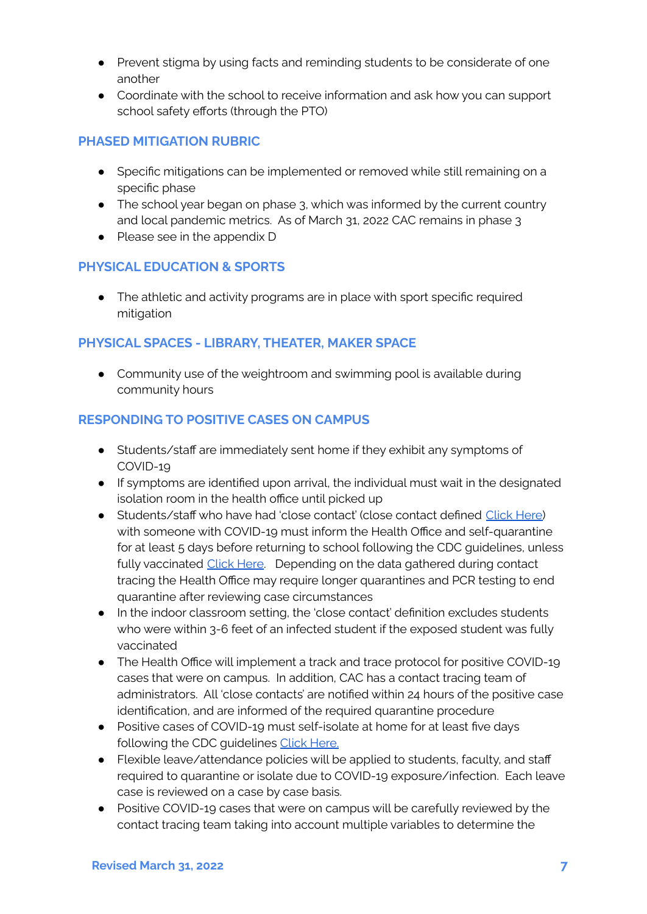- Prevent stigma by using facts and reminding students to be considerate of one another
- Coordinate with the school to receive information and ask how you can support school safety efforts (through the PTO)

#### <span id="page-6-0"></span>**PHASED MITIGATION RUBRIC**

- Specific mitigations can be implemented or removed while still remaining on a specific phase
- The school year began on phase 3, which was informed by the current country and local pandemic metrics. As of March 31, 2022 CAC remains in phase 3
- Please see in the appendix D

#### <span id="page-6-1"></span>**PHYSICAL EDUCATION & SPORTS**

● The athletic and activity programs are in place with sport specific required mitigation

#### <span id="page-6-2"></span>**PHYSICAL SPACES - LIBRARY, THEATER, MAKER SPACE**

• Community use of the weightroom and swimming pool is available during community hours

## <span id="page-6-3"></span>**RESPONDING TO POSITIVE CASES ON CAMPUS**

- Students/staff are immediately sent home if they exhibit any symptoms of COVID-19
- If symptoms are identified upon arrival, the individual must wait in the designated isolation room in the health office until picked up
- Students/staff who have had 'close contact' (close contact defined Click [Here\)](https://www.cdc.gov/coronavirus/2019-ncov/php/contact-tracing/contact-tracing-plan/appendix.html#contact) with someone with COVID-19 must inform the Health Office and self-quarantine for at least 5 days before returning to school following the CDC quidelines, unless fully vaccinated [Click](https://www.cdc.gov/coronavirus/2019-ncov/community/schools-childcare/k-12-guidance.html) Here. Depending on the data gathered during contact tracing the Health Office may require longer quarantines and PCR testing to end quarantine after reviewing case circumstances
- In the indoor classroom setting, the 'close contact' definition excludes students who were within 3-6 feet of an infected student if the exposed student was fully vaccinated
- The Health Office will implement a track and trace protocol for positive COVID-19 cases that were on campus. In addition, CAC has a contact tracing team of administrators. All 'close contacts' are notified within 24 hours of the positive case identification, and are informed of the required quarantine procedure
- Positive cases of COVID-19 must self-isolate at home for at least five days following the CDC guidelines Click [Here.](https://www.cdc.gov/coronavirus/2019-ncov/community/schools-childcare/k-12-guidance.html)
- Flexible leave/attendance policies will be applied to students, faculty, and staff required to quarantine or isolate due to COVID-19 exposure/infection. Each leave case is reviewed on a case by case basis.
- Positive COVID-19 cases that were on campus will be carefully reviewed by the contact tracing team taking into account multiple variables to determine the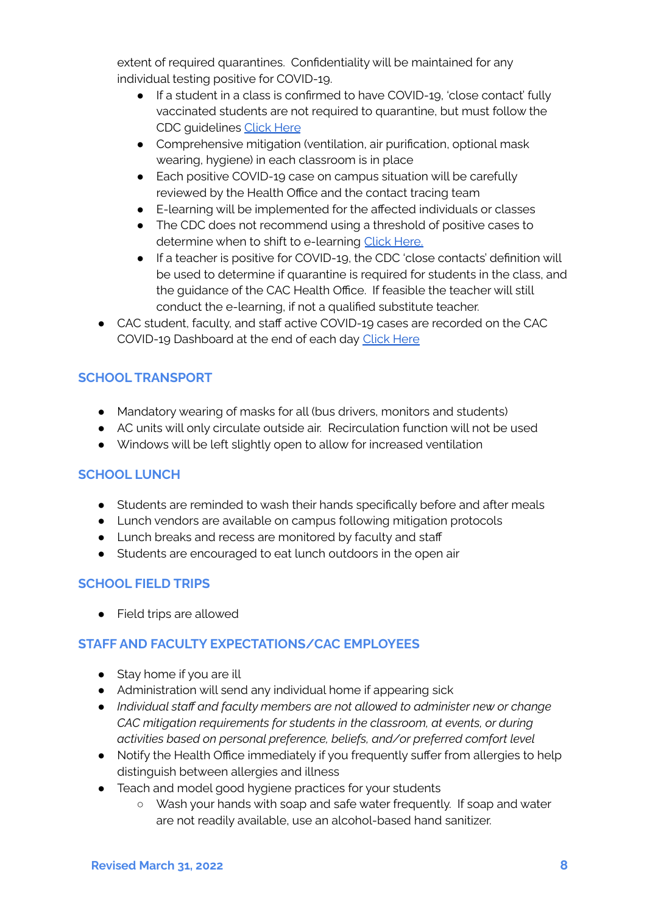extent of required quarantines. Confidentiality will be maintained for any individual testing positive for COVID-19.

- If a student in a class is confirmed to have COVID-19, 'close contact' fully vaccinated students are not required to quarantine, but must follow the CDC guidelines [Click](https://www.cdc.gov/media/releases/2021/s1227-isolation-quarantine-guidance.html) Here
- Comprehensive mitigation (ventilation, air purification, optional mask wearing, hygiene) in each classroom is in place
- Each positive COVID-19 case on campus situation will be carefully reviewed by the Health Office and the contact tracing team
- E-learning will be implemented for the affected individuals or classes
- The CDC does not recommend using a threshold of positive cases to determine when to shift to e-learning Click [Here.](https://www.cdc.gov/coronavirus/2019-ncov/community/schools-childcare/admin-faq.html)
- If a teacher is positive for COVID-19, the CDC 'close contacts' definition will be used to determine if quarantine is required for students in the class, and the guidance of the CAC Health Office. If feasible the teacher will still conduct the e-learning, if not a qualified substitute teacher.
- CAC student, faculty, and staff active COVID-19 cases are recorded on the CAC COVID-19 Dashboard at the end of each day [Click](https://www.cacegypt.org/CAC-intranet/index.php/covid-communnity-dashboard) Here

# <span id="page-7-0"></span>**SCHOOL TRANSPORT**

- Mandatory wearing of masks for all (bus drivers, monitors and students)
- AC units will only circulate outside air. Recirculation function will not be used
- Windows will be left slightly open to allow for increased ventilation

# <span id="page-7-1"></span>**SCHOOL LUNCH**

- Students are reminded to wash their hands specifically before and after meals
- Lunch vendors are available on campus following mitigation protocols
- Lunch breaks and recess are monitored by faculty and staff
- Students are encouraged to eat lunch outdoors in the open air

# <span id="page-7-2"></span>**SCHOOL FIELD TRIPS**

● Field trips are allowed

# <span id="page-7-3"></span>**STAFF AND FACULTY EXPECTATIONS/CAC EMPLOYEES**

- Stay home if you are ill
- Administration will send any individual home if appearing sick
- *Individual staff and faculty members are not allowed to administer new or change CAC mitigation requirements for students in the classroom, at events, or during activities based on personal preference, beliefs, and/or preferred comfort level*
- Notify the Health Office immediately if you frequently suffer from allergies to help distinguish between allergies and illness
- Teach and model good hygiene practices for your students
	- Wash your hands with soap and safe water frequently. If soap and water are not readily available, use an alcohol-based hand sanitizer.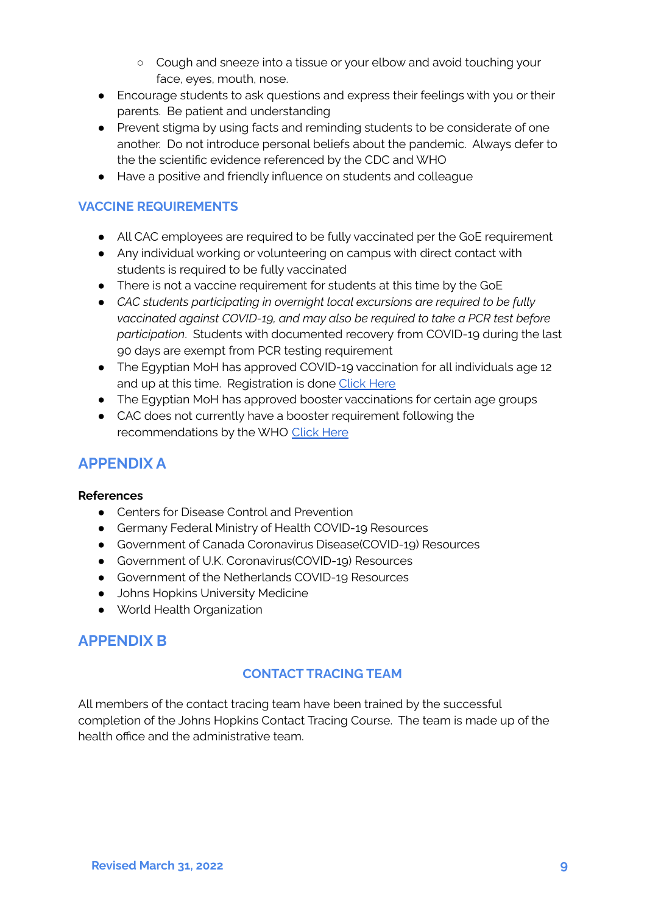- Cough and sneeze into a tissue or your elbow and avoid touching your face, eyes, mouth, nose.
- Encourage students to ask questions and express their feelings with you or their parents. Be patient and understanding
- Prevent stigma by using facts and reminding students to be considerate of one another. Do not introduce personal beliefs about the pandemic. Always defer to the the scientific evidence referenced by the CDC and WHO
- Have a positive and friendly influence on students and colleague

#### **VACCINE REQUIREMENTS**

- All CAC employees are required to be fully vaccinated per the GoE requirement
- Any individual working or volunteering on campus with direct contact with students is required to be fully vaccinated
- There is not a vaccine requirement for students at this time by the GoE
- *CAC students participating in overnight local excursions are required to be fully vaccinated against COVID-19, and may also be required to take a PCR test before participation*. Students with documented recovery from COVID-19 during the last 90 days are exempt from PCR testing requirement
- The Egyptian MoH has approved COVID-19 vaccination for all individuals age 12 and up at this time. Registration is done [Click](https://egcovac.mohp.gov.eg/#/registration) Here
- The Egyptian MoH has approved booster vaccinations for certain age groups
- CAC does not currently have a booster requirement following the recommendations by the WHO [Click](https://www.who.int/news/item/22-12-2021-interim-statement-on-booster-doses-for-covid-19-vaccination---update-22-december-2021) Here

# **APPENDIX A**

#### **References**

- Centers for Disease Control and Prevention
- Germany Federal Ministry of Health COVID-19 Resources
- Government of Canada Coronavirus Disease(COVID-19) Resources
- Government of U.K. Coronavirus(COVID-19) Resources
- Government of the Netherlands COVID-19 Resources
- **Johns Hopkins University Medicine**
- World Health Organization

# <span id="page-8-0"></span>**APPENDIX B**

#### **CONTACT TRACING TEAM**

All members of the contact tracing team have been trained by the successful completion of the Johns Hopkins Contact Tracing Course. The team is made up of the health office and the administrative team.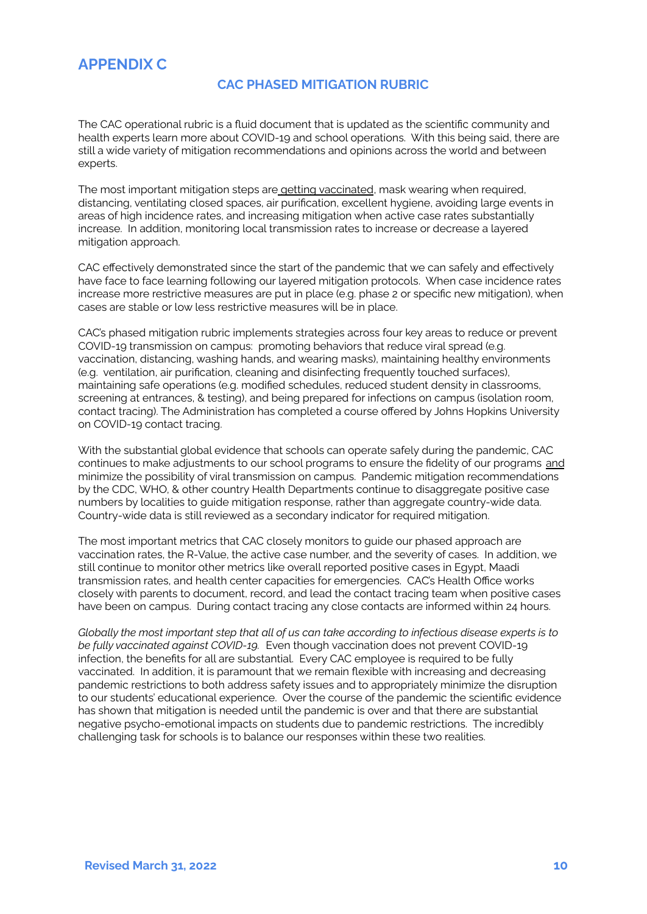# **APPENDIX C**

#### **CAC PHASED MITIGATION RUBRIC**

The CAC operational rubric is a fluid document that is updated as the scientific community and health experts learn more about COVID-19 and school operations. With this being said, there are still a wide variety of mitigation recommendations and opinions across the world and between experts.

The most important mitigation steps are **getting vaccinated**, mask wearing when required, distancing, ventilating closed spaces, air purification, excellent hygiene, avoiding large events in areas of high incidence rates, and increasing mitigation when active case rates substantially increase. In addition, monitoring local transmission rates to increase or decrease a layered mitigation approach.

CAC effectively demonstrated since the start of the pandemic that we can safely and effectively have face to face learning following our layered mitigation protocols. When case incidence rates increase more restrictive measures are put in place (e.g. phase 2 or specific new mitigation), when cases are stable or low less restrictive measures will be in place.

CAC's phased mitigation rubric implements strategies across four key areas to reduce or prevent COVID-19 transmission on campus: promoting behaviors that reduce viral spread (e.g. vaccination, distancing, washing hands, and wearing masks), maintaining healthy environments (e.g. ventilation, air purification, cleaning and disinfecting frequently touched surfaces), maintaining safe operations (e.g. modified schedules, reduced student density in classrooms, screening at entrances, & testing), and being prepared for infections on campus (isolation room, contact tracing). The Administration has completed a course offered by Johns Hopkins University on COVID-19 contact tracing.

With the substantial global evidence that schools can operate safely during the pandemic, CAC continues to make adjustments to our school programs to ensure the fidelity of our programs and minimize the possibility of viral transmission on campus. Pandemic mitigation recommendations by the CDC, WHO, & other country Health Departments continue to disaggregate positive case numbers by localities to guide mitigation response, rather than aggregate country-wide data. Country-wide data is still reviewed as a secondary indicator for required mitigation.

The most important metrics that CAC closely monitors to guide our phased approach are vaccination rates, the R-Value, the active case number, and the severity of cases. In addition, we still continue to monitor other metrics like overall reported positive cases in Egypt, Maadi transmission rates, and health center capacities for emergencies. CAC's Health Office works closely with parents to document, record, and lead the contact tracing team when positive cases have been on campus. During contact tracing any close contacts are informed within 24 hours.

Globally the most important step that all of us can take according to infectious disease experts is to *be fully vaccinated against COVID-19.* Even though vaccination does not prevent COVID-19 infection, the benefits for all are substantial. Every CAC employee is required to be fully vaccinated. In addition, it is paramount that we remain flexible with increasing and decreasing pandemic restrictions to both address safety issues and to appropriately minimize the disruption to our students' educational experience. Over the course of the pandemic the scientific evidence has shown that mitigation is needed until the pandemic is over and that there are substantial negative psycho-emotional impacts on students due to pandemic restrictions. The incredibly challenging task for schools is to balance our responses within these two realities.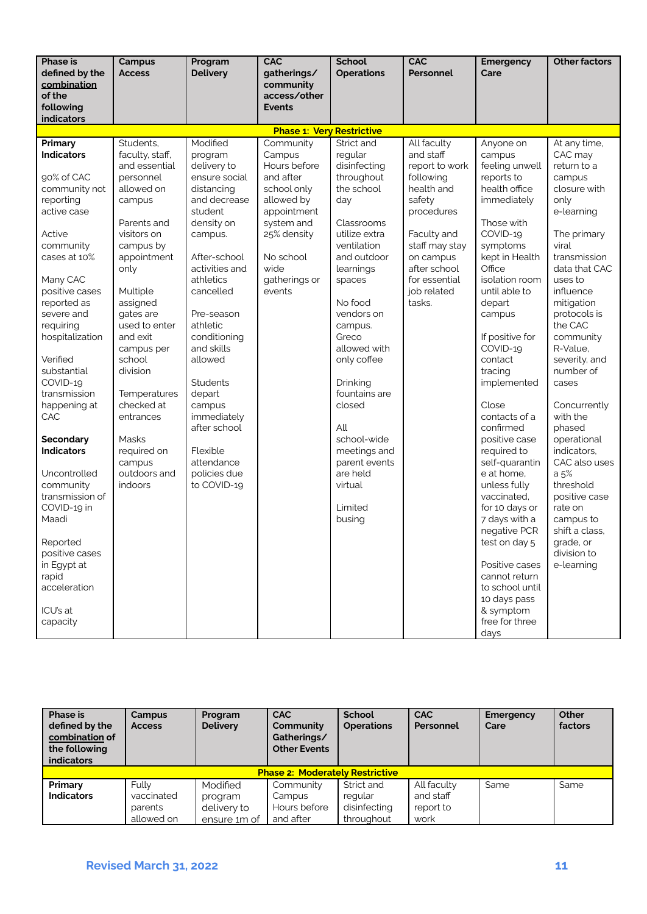| <b>Phase is</b><br>defined by the<br>combination<br>of the<br>following<br><b>indicators</b>                                                                                                                                                                                                                                                                                                                                                                                                                    | <b>Campus</b><br><b>Access</b>                                                                                                                                                                                                                                                                                                                                     | Program<br><b>Delivery</b>                                                                                                                                                                                                                                                                                                                                                          | <b>CAC</b><br>gatherings/<br>community<br>access/other<br><b>Events</b>                                                                                                   | <b>School</b><br><b>Operations</b>                                                                                                                                                                                                                                                                                                                                                 | <b>CAC</b><br>Personnel                                                                                                                                                                               | <b>Emergency</b><br>Care                                                                                                                                                                                                                                                                                                                                                                                                                                                                                                                                                                                | <b>Other factors</b>                                                                                                                                                                                                                                                                                                                                                                                                                                                                            |
|-----------------------------------------------------------------------------------------------------------------------------------------------------------------------------------------------------------------------------------------------------------------------------------------------------------------------------------------------------------------------------------------------------------------------------------------------------------------------------------------------------------------|--------------------------------------------------------------------------------------------------------------------------------------------------------------------------------------------------------------------------------------------------------------------------------------------------------------------------------------------------------------------|-------------------------------------------------------------------------------------------------------------------------------------------------------------------------------------------------------------------------------------------------------------------------------------------------------------------------------------------------------------------------------------|---------------------------------------------------------------------------------------------------------------------------------------------------------------------------|------------------------------------------------------------------------------------------------------------------------------------------------------------------------------------------------------------------------------------------------------------------------------------------------------------------------------------------------------------------------------------|-------------------------------------------------------------------------------------------------------------------------------------------------------------------------------------------------------|---------------------------------------------------------------------------------------------------------------------------------------------------------------------------------------------------------------------------------------------------------------------------------------------------------------------------------------------------------------------------------------------------------------------------------------------------------------------------------------------------------------------------------------------------------------------------------------------------------|-------------------------------------------------------------------------------------------------------------------------------------------------------------------------------------------------------------------------------------------------------------------------------------------------------------------------------------------------------------------------------------------------------------------------------------------------------------------------------------------------|
|                                                                                                                                                                                                                                                                                                                                                                                                                                                                                                                 |                                                                                                                                                                                                                                                                                                                                                                    |                                                                                                                                                                                                                                                                                                                                                                                     | <b>Phase 1: Very Restrictive</b>                                                                                                                                          |                                                                                                                                                                                                                                                                                                                                                                                    |                                                                                                                                                                                                       |                                                                                                                                                                                                                                                                                                                                                                                                                                                                                                                                                                                                         |                                                                                                                                                                                                                                                                                                                                                                                                                                                                                                 |
| Primary<br><b>Indicators</b><br>90% of CAC<br>community not<br>reporting<br>active case<br>Active<br>community<br>cases at 10%<br>Many CAC<br>positive cases<br>reported as<br>severe and<br>requiring<br>hospitalization<br>Verified<br>substantial<br>COVID-19<br>transmission<br>happening at<br>CAC<br>Secondary<br><b>Indicators</b><br>Uncontrolled<br>community<br>transmission of<br>COVID-19 in<br>Maadi<br>Reported<br>positive cases<br>in Egypt at<br>rapid<br>acceleration<br>ICU's at<br>capacity | Students,<br>faculty, staff,<br>and essential<br>personnel<br>allowed on<br>campus<br>Parents and<br>visitors on<br>campus by<br>appointment<br>only<br>Multiple<br>assigned<br>gates are<br>used to enter<br>and exit<br>campus per<br>school<br>division<br>Temperatures<br>checked at<br>entrances<br>Masks<br>required on<br>campus<br>outdoors and<br>indoors | Modified<br>program<br>delivery to<br>ensure social<br>distancing<br>and decrease<br>student<br>density on<br>campus.<br>After-school<br>activities and<br>athletics<br>cancelled<br>Pre-season<br>athletic<br>conditioning<br>and skills<br>allowed<br><b>Students</b><br>depart<br>campus<br>immediately<br>after school<br>Flexible<br>attendance<br>policies due<br>to COVID-19 | Community<br>Campus<br>Hours before<br>and after<br>school only<br>allowed by<br>appointment<br>system and<br>25% density<br>No school<br>wide<br>gatherings or<br>events | Strict and<br>regular<br>disinfecting<br>throughout<br>the school<br>day<br>Classrooms<br>utilize extra<br>ventilation<br>and outdoor<br>learnings<br>spaces<br>No food<br>vendors on<br>campus.<br>Greco<br>allowed with<br>only coffee<br>Drinking<br>fountains are<br>closed<br>All<br>school-wide<br>meetings and<br>parent events<br>are held<br>virtual<br>Limited<br>busing | All faculty<br>and staff<br>report to work<br>following<br>health and<br>safety<br>procedures<br>Faculty and<br>staff may stay<br>on campus<br>after school<br>for essential<br>iob related<br>tasks. | Anyone on<br>campus<br>feeling unwell<br>reports to<br>health office<br>immediately<br>Those with<br>COVID-19<br>symptoms<br>kept in Health<br>Office<br>isolation room<br>until able to<br>depart<br>campus<br>If positive for<br>COVID-19<br>contact<br>tracing<br>implemented<br>Close<br>contacts of a<br>confirmed<br>positive case<br>required to<br>self-quarantin<br>e at home,<br>unless fully<br>vaccinated,<br>for 10 days or<br>7 days with a<br>negative PCR<br>test on day 5<br>Positive cases<br>cannot return<br>to school until<br>10 days pass<br>& symptom<br>free for three<br>days | At any time,<br>CAC may<br>return to a<br>campus<br>closure with<br>only<br>e-learning<br>The primary<br>viral<br>transmission<br>data that CAC<br>uses to<br>influence<br>mitigation<br>protocols is<br>the CAC<br>community<br>R-Value,<br>severity, and<br>number of<br>cases<br>Concurrently<br>with the<br>phased<br>operational<br>indicators,<br>CAC also uses<br>a 5%<br>threshold<br>positive case<br>rate on<br>campus to<br>shift a class,<br>grade, or<br>division to<br>e-learning |

| <b>Phase is</b><br>defined by the<br>combination of<br>the following<br><b>indicators</b> | Campus<br><b>Access</b>                | Program<br><b>Delivery</b> | <b>CAC</b><br>Community<br>Gatherings/<br><b>Other Events</b> | School<br><b>Operations</b> | <b>CAC</b><br>Personnel | <b>Emergency</b><br>Care | Other<br>factors |
|-------------------------------------------------------------------------------------------|----------------------------------------|----------------------------|---------------------------------------------------------------|-----------------------------|-------------------------|--------------------------|------------------|
|                                                                                           | <b>Phase 2: Moderately Restrictive</b> |                            |                                                               |                             |                         |                          |                  |
| Primary                                                                                   | Fully                                  | Modified                   | Community                                                     | Strict and                  | All faculty             | Same                     | Same             |
| <b>Indicators</b>                                                                         | vaccinated                             | program                    | Campus                                                        | regular                     | and staff               |                          |                  |
|                                                                                           | parents                                | delivery to                | Hours before                                                  | disinfecting                | report to               |                          |                  |
|                                                                                           | allowed on                             | ensure 1m of               | and after                                                     | throughout                  | work                    |                          |                  |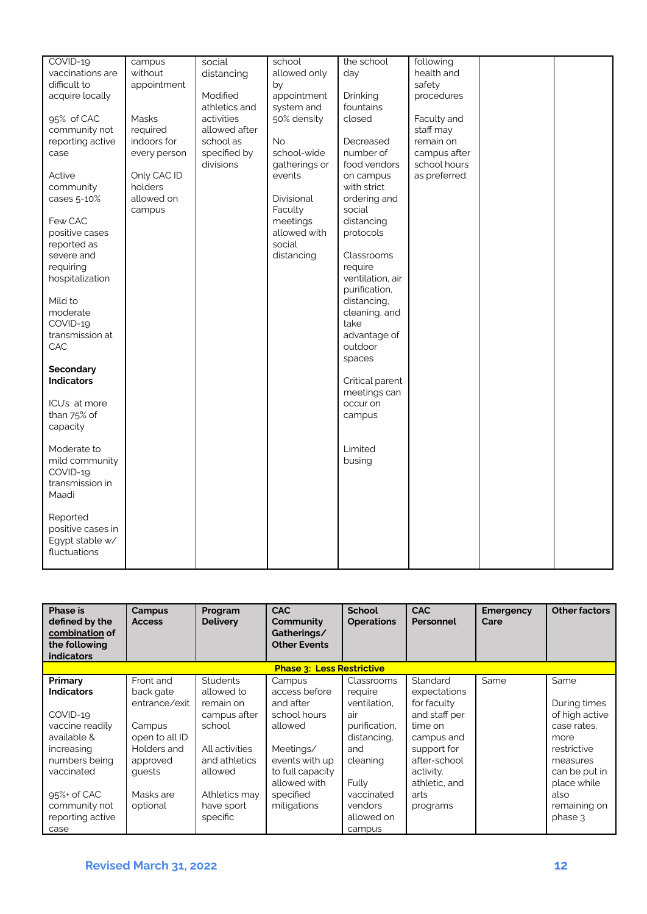| COVID-19          | campus       | social        | school        | the school       | following     |  |
|-------------------|--------------|---------------|---------------|------------------|---------------|--|
| vaccinations are  | without      | distancing    | allowed only  | day              | health and    |  |
| difficult to      | appointment  |               | by            |                  | safety        |  |
| acquire locally   |              | Modified      | appointment   | Drinking         | procedures    |  |
|                   |              | athletics and | system and    | fountains        |               |  |
|                   |              |               |               |                  |               |  |
| 95% of CAC        | Masks        | activities    | 50% density   | closed           | Faculty and   |  |
| community not     | required     | allowed after |               |                  | staff may     |  |
| reporting active  | indoors for  | school as     | <b>No</b>     | Decreased        | remain on     |  |
| case              | every person | specified by  | school-wide   | number of        | campus after  |  |
|                   |              | divisions     | gatherings or | food vendors     | school hours  |  |
| Active            | Only CAC ID  |               | events        | on campus        | as preferred. |  |
| community         | holders      |               |               | with strict      |               |  |
| cases 5-10%       | allowed on   |               | Divisional    | ordering and     |               |  |
|                   | campus       |               | Faculty       | social           |               |  |
| Few CAC           |              |               | meetings      | distancing       |               |  |
| positive cases    |              |               | allowed with  | protocols        |               |  |
| reported as       |              |               | social        |                  |               |  |
| severe and        |              |               | distancing    | Classrooms       |               |  |
| requiring         |              |               |               | require          |               |  |
| hospitalization   |              |               |               | ventilation, air |               |  |
|                   |              |               |               | purification,    |               |  |
| Mild to           |              |               |               | distancing,      |               |  |
| moderate          |              |               |               | cleaning, and    |               |  |
| COVID-19          |              |               |               | take             |               |  |
| transmission at   |              |               |               | advantage of     |               |  |
| CAC               |              |               |               | outdoor          |               |  |
|                   |              |               |               | spaces           |               |  |
| <b>Secondary</b>  |              |               |               |                  |               |  |
| <b>Indicators</b> |              |               |               | Critical parent  |               |  |
|                   |              |               |               | meetings can     |               |  |
| ICU's at more     |              |               |               | occur on         |               |  |
| than 75% of       |              |               |               | campus           |               |  |
| capacity          |              |               |               |                  |               |  |
|                   |              |               |               |                  |               |  |
| Moderate to       |              |               |               | Limited          |               |  |
| mild community    |              |               |               | busing           |               |  |
| COVID-19          |              |               |               |                  |               |  |
| transmission in   |              |               |               |                  |               |  |
|                   |              |               |               |                  |               |  |
| Maadi             |              |               |               |                  |               |  |
|                   |              |               |               |                  |               |  |
| Reported          |              |               |               |                  |               |  |
| positive cases in |              |               |               |                  |               |  |
| Egypt stable w/   |              |               |               |                  |               |  |
| fluctuations      |              |               |               |                  |               |  |
|                   |              |               |               |                  |               |  |

| <b>Phase is</b><br>defined by the<br>combination of<br>the following<br><b>indicators</b>                                                                 | Campus<br><b>Access</b>                                                                                                           | Program<br><b>Delivery</b>                                                                                                                        | <b>CAC</b><br>Community<br>Gatherings/<br><b>Other Events</b>                                                                                                  | <b>School</b><br><b>Operations</b>                                                                                                | <b>CAC</b><br>Personnel                                                                                                                                | <b>Emergency</b><br>Care | <b>Other factors</b>                                                                                                                             |
|-----------------------------------------------------------------------------------------------------------------------------------------------------------|-----------------------------------------------------------------------------------------------------------------------------------|---------------------------------------------------------------------------------------------------------------------------------------------------|----------------------------------------------------------------------------------------------------------------------------------------------------------------|-----------------------------------------------------------------------------------------------------------------------------------|--------------------------------------------------------------------------------------------------------------------------------------------------------|--------------------------|--------------------------------------------------------------------------------------------------------------------------------------------------|
|                                                                                                                                                           |                                                                                                                                   |                                                                                                                                                   | <b>Phase 3: Less Restrictive</b>                                                                                                                               |                                                                                                                                   |                                                                                                                                                        |                          |                                                                                                                                                  |
| Primary<br><b>Indicators</b><br>COVID-19<br>vaccine readily<br>available &<br>increasing<br>numbers being<br>vaccinated<br>$95\%$ of CAC<br>community not | Front and<br>back gate<br>entrance/exit<br>Campus<br>open to all ID<br>Holders and<br>approved<br>quests<br>Masks are<br>optional | <b>Students</b><br>allowed to<br>remain on<br>campus after<br>school<br>All activities<br>and athletics<br>allowed<br>Athletics may<br>have sport | Campus<br>access before<br>and after<br>school hours<br>allowed<br>Meetings/<br>events with up<br>to full capacity<br>allowed with<br>specified<br>mitigations | Classrooms<br>require<br>ventilation.<br>air<br>purification,<br>distancing,<br>and<br>cleaning<br>Fully<br>vaccinated<br>vendors | Standard<br>expectations<br>for faculty<br>and staff per<br>time on<br>campus and<br>support for<br>after-school<br>activity,<br>athletic, and<br>arts | Same                     | Same<br>During times<br>of high active<br>case rates.<br>more<br>restrictive<br>measures<br>can be put in<br>place while<br>also<br>remaining on |
| reporting active<br>case                                                                                                                                  |                                                                                                                                   | specific                                                                                                                                          |                                                                                                                                                                | allowed on<br>campus                                                                                                              | programs                                                                                                                                               |                          | phase 3                                                                                                                                          |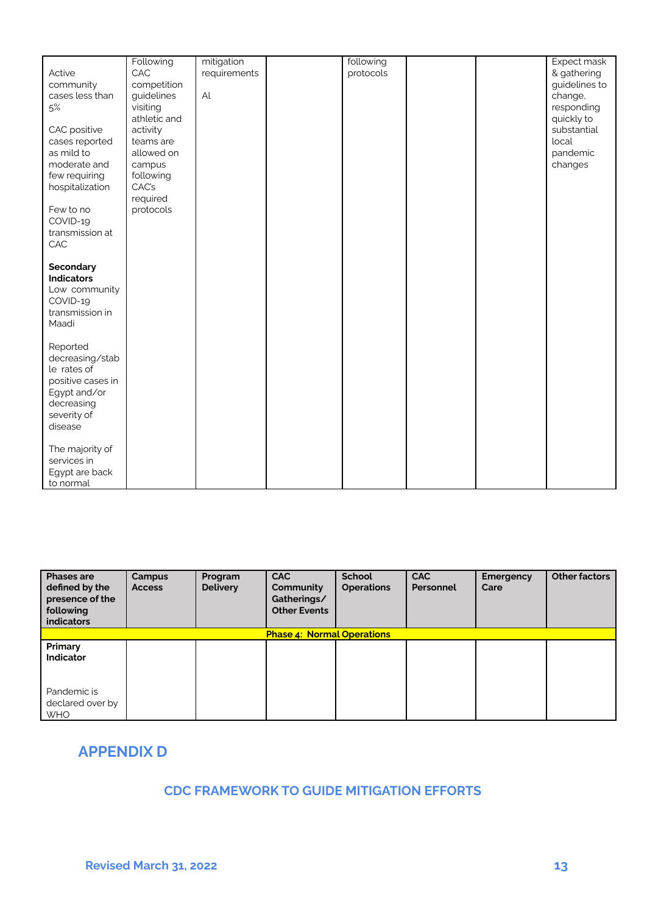|                   | Following    | mitigation   | following |  | Expect mask   |
|-------------------|--------------|--------------|-----------|--|---------------|
| Active            | CAC          | requirements | protocols |  | & gathering   |
| community         | competition  |              |           |  | guidelines to |
| cases less than   | guidelines   | Al           |           |  | change,       |
| 5%                | visiting     |              |           |  | responding    |
|                   | athletic and |              |           |  | quickly to    |
| CAC positive      | activity     |              |           |  | substantial   |
| cases reported    | teams are    |              |           |  | local         |
| as mild to        | allowed on   |              |           |  | pandemic      |
| moderate and      | campus       |              |           |  | changes       |
|                   |              |              |           |  |               |
| few requiring     | following    |              |           |  |               |
| hospitalization   | CAC's        |              |           |  |               |
|                   | required     |              |           |  |               |
| Few to no         | protocols    |              |           |  |               |
| COVID-19          |              |              |           |  |               |
| transmission at   |              |              |           |  |               |
| CAC               |              |              |           |  |               |
|                   |              |              |           |  |               |
| <b>Secondary</b>  |              |              |           |  |               |
| <b>Indicators</b> |              |              |           |  |               |
| Low community     |              |              |           |  |               |
| COVID-19          |              |              |           |  |               |
| transmission in   |              |              |           |  |               |
| Maadi             |              |              |           |  |               |
|                   |              |              |           |  |               |
| Reported          |              |              |           |  |               |
| decreasing/stab   |              |              |           |  |               |
| le rates of       |              |              |           |  |               |
| positive cases in |              |              |           |  |               |
| Egypt and/or      |              |              |           |  |               |
| decreasing        |              |              |           |  |               |
| severity of       |              |              |           |  |               |
| disease           |              |              |           |  |               |
|                   |              |              |           |  |               |
| The majority of   |              |              |           |  |               |
| services in       |              |              |           |  |               |
| Egypt are back    |              |              |           |  |               |
| to normal         |              |              |           |  |               |

| <b>Phases are</b><br>defined by the<br>presence of the<br>following | Campus<br><b>Access</b> | Program<br><b>Delivery</b> | <b>CAC</b><br>Community<br>Gatherings/<br><b>Other Events</b> | <b>School</b><br><b>Operations</b> | <b>CAC</b><br>Personnel | <b>Emergency</b><br>Care | <b>Other factors</b> |
|---------------------------------------------------------------------|-------------------------|----------------------------|---------------------------------------------------------------|------------------------------------|-------------------------|--------------------------|----------------------|
| <b>indicators</b>                                                   |                         |                            |                                                               |                                    |                         |                          |                      |
|                                                                     |                         |                            | <b>Phase 4: Normal Operations</b>                             |                                    |                         |                          |                      |
| Primary<br><b>Indicator</b>                                         |                         |                            |                                                               |                                    |                         |                          |                      |
| Pandemic is<br>declared over by<br><b>WHO</b>                       |                         |                            |                                                               |                                    |                         |                          |                      |

# <span id="page-12-0"></span>**APPENDIX D**

## **CDC FRAMEWORK TO GUIDE MITIGATION EFFORTS**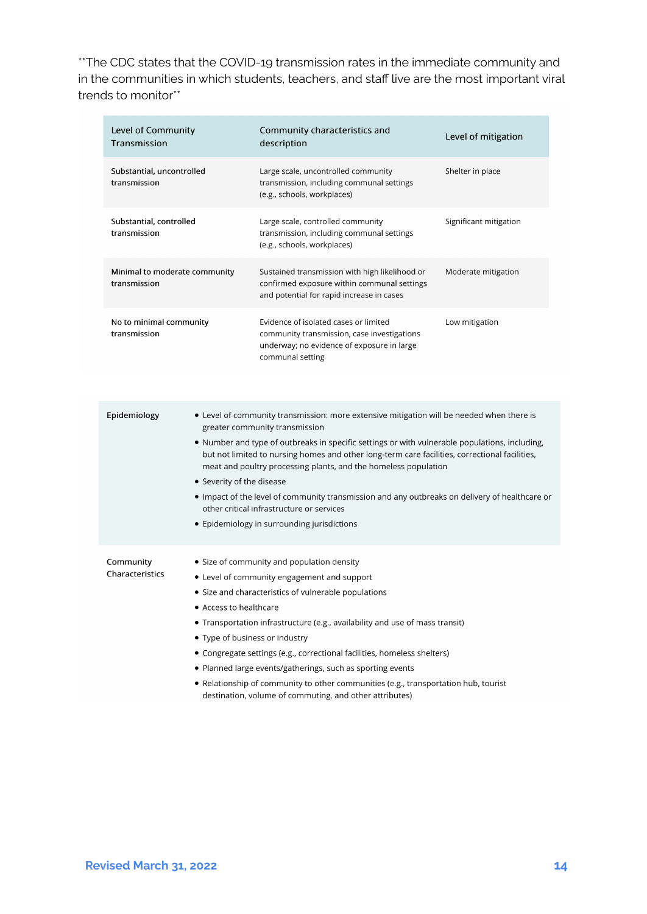\*\*The CDC states that the COVID-19 transmission rates in the immediate community and in the communities in which students, teachers, and staff live are the most important viral trends to monitor\*\*

| Level of Community<br>Transmission                                                                                                                                                                                                                                                                                                                                                                                                                                                                                                                                                                                        |                           | Community characteristics and<br>description                                                                                                                                                                                                                                                                                                                                                                                                                                                                                                                                                     | Level of mitigation    |
|---------------------------------------------------------------------------------------------------------------------------------------------------------------------------------------------------------------------------------------------------------------------------------------------------------------------------------------------------------------------------------------------------------------------------------------------------------------------------------------------------------------------------------------------------------------------------------------------------------------------------|---------------------------|--------------------------------------------------------------------------------------------------------------------------------------------------------------------------------------------------------------------------------------------------------------------------------------------------------------------------------------------------------------------------------------------------------------------------------------------------------------------------------------------------------------------------------------------------------------------------------------------------|------------------------|
| Substantial, uncontrolled<br>transmission                                                                                                                                                                                                                                                                                                                                                                                                                                                                                                                                                                                 |                           | Large scale, uncontrolled community<br>transmission, including communal settings<br>(e.g., schools, workplaces)                                                                                                                                                                                                                                                                                                                                                                                                                                                                                  | Shelter in place       |
| Substantial, controlled<br>transmission                                                                                                                                                                                                                                                                                                                                                                                                                                                                                                                                                                                   |                           | Large scale, controlled community<br>transmission, including communal settings<br>(e.g., schools, workplaces)                                                                                                                                                                                                                                                                                                                                                                                                                                                                                    | Significant mitigation |
| Minimal to moderate community<br>transmission                                                                                                                                                                                                                                                                                                                                                                                                                                                                                                                                                                             |                           | Sustained transmission with high likelihood or<br>confirmed exposure within communal settings<br>and potential for rapid increase in cases                                                                                                                                                                                                                                                                                                                                                                                                                                                       | Moderate mitigation    |
| No to minimal community<br>transmission                                                                                                                                                                                                                                                                                                                                                                                                                                                                                                                                                                                   |                           | Evidence of isolated cases or limited<br>community transmission, case investigations<br>underway; no evidence of exposure in large<br>communal setting                                                                                                                                                                                                                                                                                                                                                                                                                                           | Low mitigation         |
| Epidemiology                                                                                                                                                                                                                                                                                                                                                                                                                                                                                                                                                                                                              | • Severity of the disease | • Level of community transmission: more extensive mitigation will be needed when there is<br>greater community transmission<br>• Number and type of outbreaks in specific settings or with vulnerable populations, including,<br>but not limited to nursing homes and other long-term care facilities, correctional facilities,<br>meat and poultry processing plants, and the homeless population<br>. Impact of the level of community transmission and any outbreaks on delivery of healthcare or<br>other critical infrastructure or services<br>• Epidemiology in surrounding jurisdictions |                        |
| Community<br>• Size of community and population density<br>Characteristics<br>• Level of community engagement and support<br>• Size and characteristics of vulnerable populations<br>• Access to healthcare<br>• Transportation infrastructure (e.g., availability and use of mass transit)<br>• Type of business or industry<br>• Congregate settings (e.g., correctional facilities, homeless shelters)<br>• Planned large events/gatherings, such as sporting events<br>• Relationship of community to other communities (e.g., transportation hub, tourist<br>destination, volume of commuting, and other attributes) |                           |                                                                                                                                                                                                                                                                                                                                                                                                                                                                                                                                                                                                  |                        |